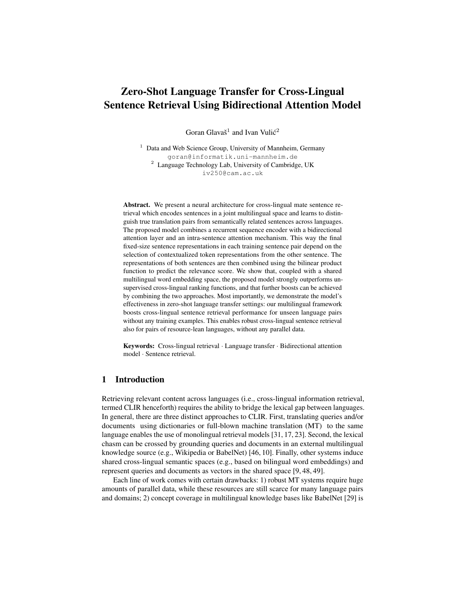# Zero-Shot Language Transfer for Cross-Lingual Sentence Retrieval Using Bidirectional Attention Model

Goran Glavaš<sup>1</sup> and Ivan Vulić<sup>2</sup>

<sup>1</sup> Data and Web Science Group, University of Mannheim, Germany goran@informatik.uni-mannheim.de <sup>2</sup> Language Technology Lab, University of Cambridge, UK iv250@cam.ac.uk

Abstract. We present a neural architecture for cross-lingual mate sentence retrieval which encodes sentences in a joint multilingual space and learns to distinguish true translation pairs from semantically related sentences across languages. The proposed model combines a recurrent sequence encoder with a bidirectional attention layer and an intra-sentence attention mechanism. This way the final fixed-size sentence representations in each training sentence pair depend on the selection of contextualized token representations from the other sentence. The representations of both sentences are then combined using the bilinear product function to predict the relevance score. We show that, coupled with a shared multilingual word embedding space, the proposed model strongly outperforms unsupervised cross-lingual ranking functions, and that further boosts can be achieved by combining the two approaches. Most importantly, we demonstrate the model's effectiveness in zero-shot language transfer settings: our multilingual framework boosts cross-lingual sentence retrieval performance for unseen language pairs without any training examples. This enables robust cross-lingual sentence retrieval also for pairs of resource-lean languages, without any parallel data.

Keywords: Cross-lingual retrieval · Language transfer · Bidirectional attention model · Sentence retrieval.

# 1 Introduction

Retrieving relevant content across languages (i.e., cross-lingual information retrieval, termed CLIR henceforth) requires the ability to bridge the lexical gap between languages. In general, there are three distinct approaches to CLIR. First, translating queries and/or documents using dictionaries or full-blown machine translation (MT) to the same language enables the use of monolingual retrieval models [31, 17, 23]. Second, the lexical chasm can be crossed by grounding queries and documents in an external multilingual knowledge source (e.g., Wikipedia or BabelNet) [46, 10]. Finally, other systems induce shared cross-lingual semantic spaces (e.g., based on bilingual word embeddings) and represent queries and documents as vectors in the shared space [9, 48, 49].

Each line of work comes with certain drawbacks: 1) robust MT systems require huge amounts of parallel data, while these resources are still scarce for many language pairs and domains; 2) concept coverage in multilingual knowledge bases like BabelNet [29] is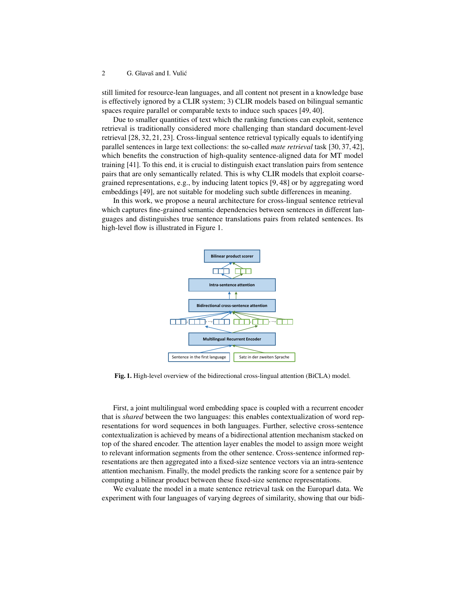still limited for resource-lean languages, and all content not present in a knowledge base is effectively ignored by a CLIR system; 3) CLIR models based on bilingual semantic spaces require parallel or comparable texts to induce such spaces [49, 40].

Due to smaller quantities of text which the ranking functions can exploit, sentence retrieval is traditionally considered more challenging than standard document-level retrieval [28, 32, 21, 23]. Cross-lingual sentence retrieval typically equals to identifying parallel sentences in large text collections: the so-called *mate retrieval* task [30, 37, 42], which benefits the construction of high-quality sentence-aligned data for MT model training [41]. To this end, it is crucial to distinguish exact translation pairs from sentence pairs that are only semantically related. This is why CLIR models that exploit coarsegrained representations, e.g., by inducing latent topics [9, 48] or by aggregating word embeddings [49], are not suitable for modeling such subtle differences in meaning.

In this work, we propose a neural architecture for cross-lingual sentence retrieval which captures fine-grained semantic dependencies between sentences in different languages and distinguishes true sentence translations pairs from related sentences. Its high-level flow is illustrated in Figure 1.



Fig. 1. High-level overview of the bidirectional cross-lingual attention (BiCLA) model.

First, a joint multilingual word embedding space is coupled with a recurrent encoder that is *shared* between the two languages: this enables contextualization of word representations for word sequences in both languages. Further, selective cross-sentence contextualization is achieved by means of a bidirectional attention mechanism stacked on top of the shared encoder. The attention layer enables the model to assign more weight to relevant information segments from the other sentence. Cross-sentence informed representations are then aggregated into a fixed-size sentence vectors via an intra-sentence attention mechanism. Finally, the model predicts the ranking score for a sentence pair by computing a bilinear product between these fixed-size sentence representations.

We evaluate the model in a mate sentence retrieval task on the Europarl data. We experiment with four languages of varying degrees of similarity, showing that our bidi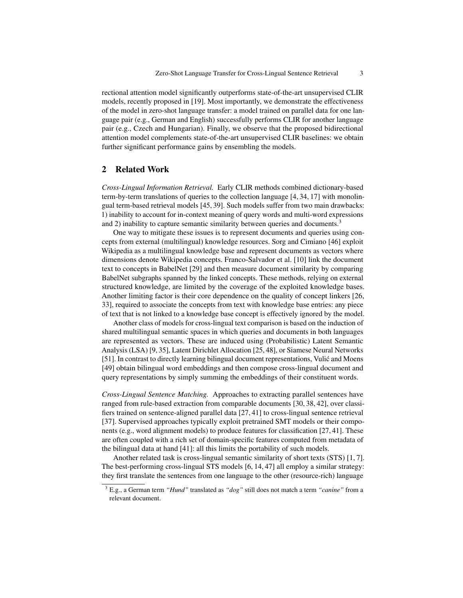rectional attention model significantly outperforms state-of-the-art unsupervised CLIR models, recently proposed in [19]. Most importantly, we demonstrate the effectiveness of the model in zero-shot language transfer: a model trained on parallel data for one language pair (e.g., German and English) successfully performs CLIR for another language pair (e.g., Czech and Hungarian). Finally, we observe that the proposed bidirectional attention model complements state-of-the-art unsupervised CLIR baselines: we obtain further significant performance gains by ensembling the models.

# 2 Related Work

*Cross-Lingual Information Retrieval.* Early CLIR methods combined dictionary-based term-by-term translations of queries to the collection language [4, 34, 17] with monolingual term-based retrieval models [45, 39]. Such models suffer from two main drawbacks: 1) inability to account for in-context meaning of query words and multi-word expressions and 2) inability to capture semantic similarity between queries and documents.<sup>3</sup>

One way to mitigate these issues is to represent documents and queries using concepts from external (multilingual) knowledge resources. Sorg and Cimiano [46] exploit Wikipedia as a multilingual knowledge base and represent documents as vectors where dimensions denote Wikipedia concepts. Franco-Salvador et al. [10] link the document text to concepts in BabelNet [29] and then measure document similarity by comparing BabelNet subgraphs spanned by the linked concepts. These methods, relying on external structured knowledge, are limited by the coverage of the exploited knowledge bases. Another limiting factor is their core dependence on the quality of concept linkers [26, 33], required to associate the concepts from text with knowledge base entries: any piece of text that is not linked to a knowledge base concept is effectively ignored by the model.

Another class of models for cross-lingual text comparison is based on the induction of shared multilingual semantic spaces in which queries and documents in both languages are represented as vectors. These are induced using (Probabilistic) Latent Semantic Analysis (LSA) [9, 35], Latent Dirichlet Allocation [25, 48], or Siamese Neural Networks [51]. In contrast to directly learning bilingual document representations, Vulic and Moens ´ [49] obtain bilingual word embeddings and then compose cross-lingual document and query representations by simply summing the embeddings of their constituent words.

*Cross-Lingual Sentence Matching.* Approaches to extracting parallel sentences have ranged from rule-based extraction from comparable documents [30, 38, 42], over classifiers trained on sentence-aligned parallel data [27, 41] to cross-lingual sentence retrieval [37]. Supervised approaches typically exploit pretrained SMT models or their components (e.g., word alignment models) to produce features for classification [27, 41]. These are often coupled with a rich set of domain-specific features computed from metadata of the bilingual data at hand [41]: all this limits the portability of such models.

Another related task is cross-lingual semantic similarity of short texts (STS) [1, 7]. The best-performing cross-lingual STS models [6, 14, 47] all employ a similar strategy: they first translate the sentences from one language to the other (resource-rich) language

<sup>3</sup> E.g., a German term *"Hund"* translated as *"dog"* still does not match a term *"canine"* from a relevant document.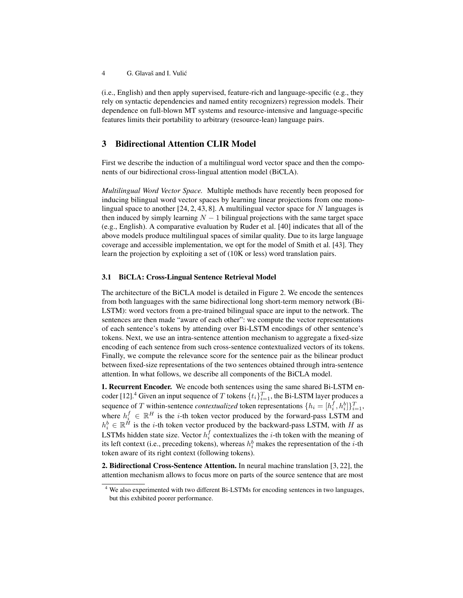(i.e., English) and then apply supervised, feature-rich and language-specific (e.g., they rely on syntactic dependencies and named entity recognizers) regression models. Their dependence on full-blown MT systems and resource-intensive and language-specific features limits their portability to arbitrary (resource-lean) language pairs.

### 3 Bidirectional Attention CLIR Model

First we describe the induction of a multilingual word vector space and then the components of our bidirectional cross-lingual attention model (BiCLA).

*Multilingual Word Vector Space.* Multiple methods have recently been proposed for inducing bilingual word vector spaces by learning linear projections from one monolingual space to another  $[24, 2, 43, 8]$ . A multilingual vector space for N languages is then induced by simply learning  $N - 1$  bilingual projections with the same target space (e.g., English). A comparative evaluation by Ruder et al. [40] indicates that all of the above models produce multilingual spaces of similar quality. Due to its large language coverage and accessible implementation, we opt for the model of Smith et al. [43]. They learn the projection by exploiting a set of (10K or less) word translation pairs.

### 3.1 BiCLA: Cross-Lingual Sentence Retrieval Model

The architecture of the BiCLA model is detailed in Figure 2. We encode the sentences from both languages with the same bidirectional long short-term memory network (Bi-LSTM): word vectors from a pre-trained bilingual space are input to the network. The sentences are then made "aware of each other": we compute the vector representations of each sentence's tokens by attending over Bi-LSTM encodings of other sentence's tokens. Next, we use an intra-sentence attention mechanism to aggregate a fixed-size encoding of each sentence from such cross-sentence contextualized vectors of its tokens. Finally, we compute the relevance score for the sentence pair as the bilinear product between fixed-size representations of the two sentences obtained through intra-sentence attention. In what follows, we describe all components of the BiCLA model.

1. Recurrent Encoder. We encode both sentences using the same shared Bi-LSTM encoder [12].<sup>4</sup> Given an input sequence of T tokens  $\{t_i\}_{i=1}^T$ , the Bi-LSTM layer produces a sequence of T within-sentence *contextualized* token representations  $\{h_i = [h_i^f, h_i^b]\}_{i=1}^T$ , where  $h_i^f \in \mathbb{R}^H$  is the *i*-th token vector produced by the forward-pass LSTM and  $h_i^b \in \mathbb{R}^H$  is the *i*-th token vector produced by the backward-pass LSTM, with H as LSTMs hidden state size. Vector  $h_i^f$  contextualizes the *i*-th token with the meaning of its left context (i.e., preceding tokens), whereas  $h_i^b$  makes the representation of the *i*-th token aware of its right context (following tokens).

2. Bidirectional Cross-Sentence Attention. In neural machine translation [3, 22], the attention mechanism allows to focus more on parts of the source sentence that are most

<sup>4</sup> We also experimented with two different Bi-LSTMs for encoding sentences in two languages, but this exhibited poorer performance.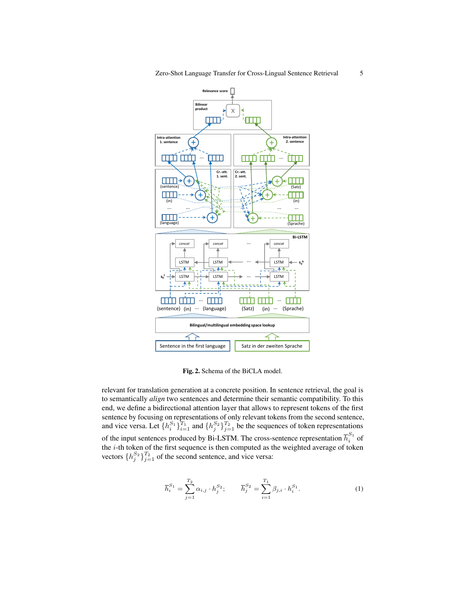

Fig. 2. Schema of the BiCLA model.

relevant for translation generation at a concrete position. In sentence retrieval, the goal is to semantically *align* two sentences and determine their semantic compatibility. To this end, we define a bidirectional attention layer that allows to represent tokens of the first sentence by focusing on representations of only relevant tokens from the second sentence, and vice versa. Let  $\{h_i^{S_1}\}_{i=1}^{T_1}$  and  $\{h_j^{S_2}\}_{j=1}^{T_2}$  be the sequences of token representations of the input sentences produced by Bi-LSTM. The cross-sentence representation  $\overline{h}_{i}^{S_1}$  of the  $i$ -th token of the first sequence is then computed as the weighted average of token vectors  $\{h_j^{S_2}\}_{j=1}^{T_2}$  of the second sentence, and vice versa:

$$
\overline{h}_i^{S_1} = \sum_{j=1}^{T_2} \alpha_{i,j} \cdot h_j^{S_2}; \qquad \overline{h}_j^{S_2} = \sum_{i=1}^{T_1} \beta_{j,i} \cdot h_i^{S_1}.
$$
 (1)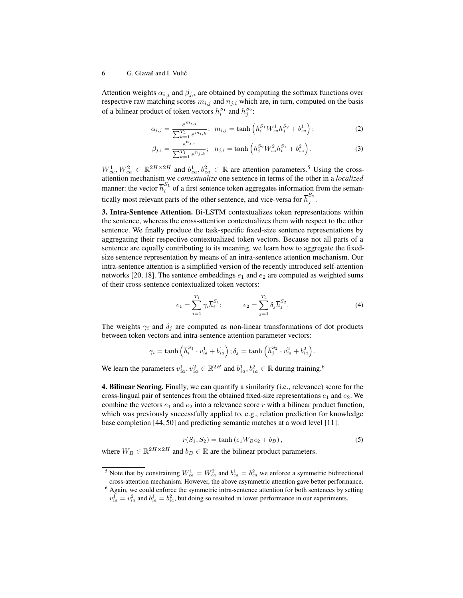Attention weights  $\alpha_{i,j}$  and  $\beta_{j,i}$  are obtained by computing the softmax functions over respective raw matching scores  $m_{i,j}$  and  $n_{j,i}$  which are, in turn, computed on the basis of a bilinear product of token vectors  $h_i^{S_1}$  and  $h_j^{S_2}$ :

$$
\alpha_{i,j} = \frac{e^{m_{i,j}}}{\sum_{k=1}^{T_2} e^{m_{i,k}}}; \ \ m_{i,j} = \tanh\left(h_i^{S_1} W_{ca}^1 h_j^{S_2} + b_{ca}^1\right); \tag{2}
$$

$$
\beta_{j,i} = \frac{e^{n_{j,i}}}{\sum_{k=1}^{T_1} e^{n_{j,k}}}; \quad n_{j,i} = \tanh\left(h_j^{S_2} W_{ca}^2 h_i^{S_1} + b_{ca}^2\right). \tag{3}
$$

 $W_{ca}^1, W_{ca}^2 \in \mathbb{R}^{2H \times 2H}$  and  $b_{ca}^1, b_{ca}^2 \in \mathbb{R}$  are attention parameters.<sup>5</sup> Using the crossattention mechanism we *contextualize* one sentence in terms of the other in a *localized* manner: the vector  $\overline{h}_i^{S_1}$  of a first sentence token aggregates information from the semantically most relevant parts of the other sentence, and vice-versa for  $\overline{h}_i^{S_2}$  $\frac{z}{j}$ .

3. Intra-Sentence Attention. Bi-LSTM contextualizes token representations within the sentence, whereas the cross-attention contextualizes them with respect to the other sentence. We finally produce the task-specific fixed-size sentence representations by aggregating their respective contextualized token vectors. Because not all parts of a sentence are equally contributing to its meaning, we learn how to aggregate the fixedsize sentence representation by means of an intra-sentence attention mechanism. Our intra-sentence attention is a simplified version of the recently introduced self-attention networks [20, 18]. The sentence embeddings  $e_1$  and  $e_2$  are computed as weighted sums of their cross-sentence contextualized token vectors:

$$
e_1 = \sum_{i=1}^{T_1} \gamma_i \overline{h}_i^{S_1}; \qquad e_2 = \sum_{j=1}^{T_2} \delta_j \overline{h}_j^{S_2}.
$$
 (4)

The weights  $\gamma_i$  and  $\delta_j$  are computed as non-linear transformations of dot products between token vectors and intra-sentence attention parameter vectors:

$$
\gamma_i = \tanh\left(\overline{h}_i^{S_1} \cdot v_{ia}^1 + b_{ia}^1\right); \delta_j = \tanh\left(\overline{h}_j^{S_2} \cdot v_{ia}^2 + b_{ia}^2\right).
$$

We learn the parameters  $v_{ia}^1, v_{ia}^2 \in \mathbb{R}^{2H}$  and  $b_{ia}^1, b_{ia}^2 \in \mathbb{R}$  during training.<sup>6</sup>

4. Bilinear Scoring. Finally, we can quantify a similarity (i.e., relevance) score for the cross-lingual pair of sentences from the obtained fixed-size representations  $e_1$  and  $e_2$ . We combine the vectors  $e_1$  and  $e_2$  into a relevance score r with a bilinear product function, which was previously successfully applied to, e.g., relation prediction for knowledge base completion [44, 50] and predicting semantic matches at a word level [11]:

$$
r(S_1, S_2) = \tanh(e_1 W_B e_2 + b_B), \tag{5}
$$

where  $W_B \in \mathbb{R}^{2H \times 2H}$  and  $b_B \in \mathbb{R}$  are the bilinear product parameters.

<sup>&</sup>lt;sup>5</sup> Note that by constraining  $W_{ca}^1 = W_{ca}^2$  and  $b_{ca}^1 = b_{ca}^2$  we enforce a symmetric bidirectional cross-attention mechanism. However, the above asymmetric attention gave better performance.

 $6$  Again, we could enforce the symmetric intra-sentence attention for both sentences by setting  $v_{ia}^1 = v_{ia}^2$  and  $b_{ia}^1 = b_{ia}^2$ , but doing so resulted in lower performance in our experiments.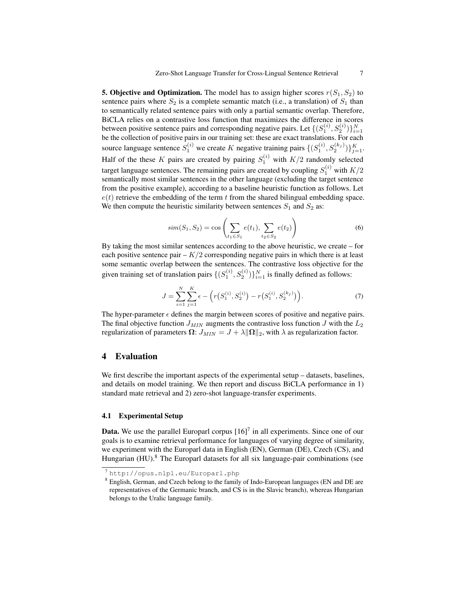**5. Objective and Optimization.** The model has to assign higher scores  $r(S_1, S_2)$  to sentence pairs where  $S_2$  is a complete semantic match (i.e., a translation) of  $S_1$  than to semantically related sentence pairs with only a partial semantic overlap. Therefore, BiCLA relies on a contrastive loss function that maximizes the difference in scores between positive sentence pairs and corresponding negative pairs. Let  $\{(S_1^{(i)}, S_2^{(i)})\}_{i=1}^N$ <br>be the collection of positive pairs in our training set: these are exact translations. For each source language sentence  $S_1^{(i)}$  we create K negative training pairs  $\{(S_1^{(i)}, S_2^{(k_j)})\}_{j=1}^K$ . Half of the these K pairs are created by pairing  $S_1^{(i)}$  with  $K/2$  randomly selected target language sentences. The remaining pairs are created by coupling  $S_1^{(i)}$  with  $K/2$ semantically most similar sentences in the other language (excluding the target sentence from the positive example), according to a baseline heuristic function as follows. Let  $e(t)$  retrieve the embedding of the term t from the shared bilingual embedding space. We then compute the heuristic similarity between sentences  $S_1$  and  $S_2$  as:

$$
sim(S_1, S_2) = \cos\left(\sum_{t_1 \in S_1} e(t_1), \sum_{t_2 \in S_2} e(t_2)\right)
$$
 (6)

By taking the most similar sentences according to the above heuristic, we create – for each positive sentence pair  $-K/2$  corresponding negative pairs in which there is at least some semantic overlap between the sentences. The contrastive loss objective for the given training set of translation pairs  $\{(S_1^{(i)}, S_2^{(i)})\}_{i=1}^N$  is finally defined as follows:

$$
J = \sum_{i=1}^{N} \sum_{j=1}^{K} \epsilon - \left( r(S_1^{(i)}, S_2^{(i)}) - r(S_1^{(i)}, S_2^{(k_j)}) \right). \tag{7}
$$

The hyper-parameter  $\epsilon$  defines the margin between scores of positive and negative pairs. The final objective function  $J_{MIN}$  augments the contrastive loss function  $J$  with the  $L_2$ regularization of parameters  $\Omega$ :  $J_{MIN} = J + \lambda \|\Omega\|_2$ , with  $\lambda$  as regularization factor.

### 4 Evaluation

We first describe the important aspects of the experimental setup – datasets, baselines, and details on model training. We then report and discuss BiCLA performance in 1) standard mate retrieval and 2) zero-shot language-transfer experiments.

#### 4.1 Experimental Setup

**Data.** We use the parallel Europarl corpus  $[16]$ <sup>7</sup> in all experiments. Since one of our goals is to examine retrieval performance for languages of varying degree of similarity, we experiment with the Europarl data in English (EN), German (DE), Czech (CS), and Hungarian (HU).<sup>8</sup> The Europarl datasets for all six language-pair combinations (see

<sup>7</sup> http://opus.nlpl.eu/Europarl.php

<sup>&</sup>lt;sup>8</sup> English, German, and Czech belong to the family of Indo-European languages (EN and DE are representatives of the Germanic branch, and CS is in the Slavic branch), whereas Hungarian belongs to the Uralic language family.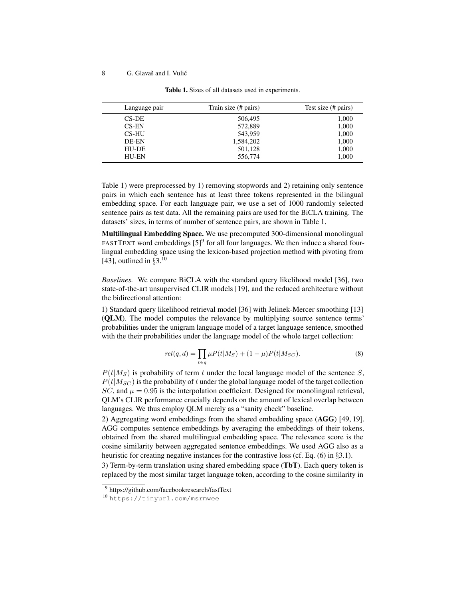| Language pair | Train size (# pairs) | Test size (# pairs) |
|---------------|----------------------|---------------------|
| CS-DE         | 506,495              | 1,000               |
| CS-EN         | 572,889              | 1,000               |
| <b>CS-HU</b>  | 543,959              | 1,000               |
| DE-EN         | 1,584,202            | 1,000               |
| HU-DE         | 501,128              | 1,000               |
| <b>HU-EN</b>  | 556,774              | 1,000               |
|               |                      |                     |

Table 1. Sizes of all datasets used in experiments.

Table 1) were preprocessed by 1) removing stopwords and 2) retaining only sentence pairs in which each sentence has at least three tokens represented in the bilingual embedding space. For each language pair, we use a set of 1000 randomly selected sentence pairs as test data. All the remaining pairs are used for the BiCLA training. The datasets' sizes, in terms of number of sentence pairs, are shown in Table 1.

Multilingual Embedding Space. We use precomputed 300-dimensional monolingual FASTTEXT word embeddings  $[5]^9$  for all four languages. We then induce a shared fourlingual embedding space using the lexicon-based projection method with pivoting from [43], outlined in  $\S 3$ .<sup>10</sup>

*Baselines.* We compare BiCLA with the standard query likelihood model [36], two state-of-the-art unsupervised CLIR models [19], and the reduced architecture without the bidirectional attention:

1) Standard query likelihood retrieval model [36] with Jelinek-Mercer smoothing [13] (QLM). The model computes the relevance by multiplying source sentence terms' probabilities under the unigram language model of a target language sentence, smoothed with the their probabilities under the language model of the whole target collection:

$$
rel(q, d) = \prod_{t \in q} \mu P(t|M_S) + (1 - \mu) P(t|M_{SC}).
$$
\n(8)

 $P(t|M_S)$  is probability of term t under the local language model of the sentence S,  $P(t|M_{SC})$  is the probability of t under the global language model of the target collection SC, and  $\mu = 0.95$  is the interpolation coefficient. Designed for monolingual retrieval, QLM's CLIR performance crucially depends on the amount of lexical overlap between languages. We thus employ QLM merely as a "sanity check" baseline.

2) Aggregating word embeddings from the shared embedding space (AGG) [49, 19]. AGG computes sentence embeddings by averaging the embeddings of their tokens, obtained from the shared multilingual embedding space. The relevance score is the cosine similarity between aggregated sentence embeddings. We used AGG also as a heuristic for creating negative instances for the contrastive loss (cf. Eq. (6) in §3.1).

3) Term-by-term translation using shared embedding space (TbT). Each query token is replaced by the most similar target language token, according to the cosine similarity in

<sup>&</sup>lt;sup>9</sup> https://github.com/facebookresearch/fastText

<sup>10</sup> https://tinyurl.com/msrmwee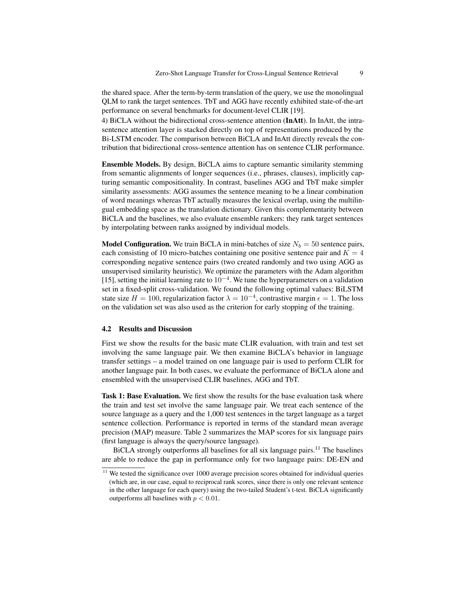the shared space. After the term-by-term translation of the query, we use the monolingual QLM to rank the target sentences. TbT and AGG have recently exhibited state-of-the-art performance on several benchmarks for document-level CLIR [19].

4) BiCLA without the bidirectional cross-sentence attention (InAtt). In InAtt, the intrasentence attention layer is stacked directly on top of representations produced by the Bi-LSTM encoder. The comparison between BiCLA and InAtt directly reveals the contribution that bidirectional cross-sentence attention has on sentence CLIR performance.

Ensemble Models. By design, BiCLA aims to capture semantic similarity stemming from semantic alignments of longer sequences (i.e., phrases, clauses), implicitly capturing semantic compositionality. In contrast, baselines AGG and TbT make simpler similarity assessments: AGG assumes the sentence meaning to be a linear combination of word meanings whereas TbT actually measures the lexical overlap, using the multilingual embedding space as the translation dictionary. Given this complementarity between BiCLA and the baselines, we also evaluate ensemble rankers: they rank target sentences by interpolating between ranks assigned by individual models.

**Model Configuration.** We train BiCLA in mini-batches of size  $N_b = 50$  sentence pairs, each consisting of 10 micro-batches containing one positive sentence pair and  $K = 4$ corresponding negative sentence pairs (two created randomly and two using AGG as unsupervised similarity heuristic). We optimize the parameters with the Adam algorithm [15], setting the initial learning rate to  $10^{-4}$ . We tune the hyperparameters on a validation set in a fixed-split cross-validation. We found the following optimal values: BiLSTM state size  $H = 100$ , regularization factor  $\lambda = 10^{-4}$ , contrastive margin  $\epsilon = 1$ . The loss on the validation set was also used as the criterion for early stopping of the training.

#### 4.2 Results and Discussion

First we show the results for the basic mate CLIR evaluation, with train and test set involving the same language pair. We then examine BiCLA's behavior in language transfer settings – a model trained on one language pair is used to perform CLIR for another language pair. In both cases, we evaluate the performance of BiCLA alone and ensembled with the unsupervised CLIR baselines, AGG and TbT.

Task 1: Base Evaluation. We first show the results for the base evaluation task where the train and test set involve the same language pair. We treat each sentence of the source language as a query and the 1,000 test sentences in the target language as a target sentence collection. Performance is reported in terms of the standard mean average precision (MAP) measure. Table 2 summarizes the MAP scores for six language pairs (first language is always the query/source language).

BiCLA strongly outperforms all baselines for all six language pairs.<sup>11</sup> The baselines are able to reduce the gap in performance only for two language pairs: DE-EN and

 $11$  We tested the significance over 1000 average precision scores obtained for individual queries (which are, in our case, equal to reciprocal rank scores, since there is only one relevant sentence in the other language for each query) using the two-tailed Student's t-test. BiCLA significantly outperforms all baselines with  $p < 0.01$ .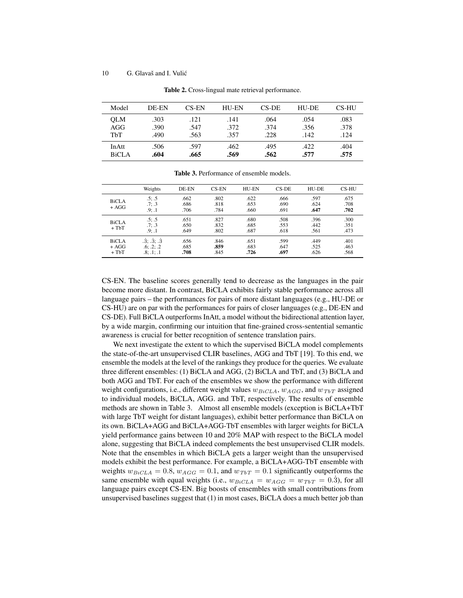| Model        | DE-EN | <b>CS-EN</b> | <b>HU-EN</b> | CS-DE | HU-DE | <b>CS-HU</b> |
|--------------|-------|--------------|--------------|-------|-------|--------------|
| <b>OLM</b>   | .303  | .121         | .141         | .064  | .054  | .083         |
| AGG          | .390  | .547         | .372         | .374  | .356  | .378         |
| ThT          | .490  | .563         | .357         | .228  | .142  | .124         |
| InAtt        | .506  | .597         | .462         | .495  | .422  | .404         |
| <b>BiCLA</b> | .604  | .665         | .569         | .562  | .577  | .575         |

Table 2. Cross-lingual mate retrieval performance.

|                                   | Weights                           | DE-EN                | $CS-EN$              | HU-EN                | $CS-DE$              | HU-DE                | $CS-HU$              |
|-----------------------------------|-----------------------------------|----------------------|----------------------|----------------------|----------------------|----------------------|----------------------|
| <b>BiCLA</b><br>$+ AGG$           | .5: .5<br>.7: .3<br>.9: .1        | .662<br>.686<br>.706 | .802<br>.818<br>.784 | .622<br>.653<br>.660 | .666<br>.690<br>.691 | .597<br>.624<br>.647 | .675<br>.708<br>.702 |
| <b>BiCLA</b><br>$+TbT$            | .5: .5<br>.7: .3<br>.9: .1        | .651<br>.650<br>.649 | .827<br>.832<br>.802 | .680<br>.685<br>.687 | .508<br>.553<br>.618 | .396<br>.442<br>.561 | .300<br>.351<br>.473 |
| <b>BiCLA</b><br>$+ AGG$<br>$+TbT$ | 3:3:3<br>.6: .2: .2<br>.8: .1: .1 | .656<br>.685<br>.708 | .846<br>.859<br>.845 | .651<br>.683<br>.726 | .599<br>.647<br>.697 | .449<br>.525<br>.626 | .401<br>.463<br>.568 |

Table 3. Performance of ensemble models.

CS-EN. The baseline scores generally tend to decrease as the languages in the pair become more distant. In contrast, BiCLA exhibits fairly stable performance across all language pairs – the performances for pairs of more distant languages (e.g., HU-DE or CS-HU) are on par with the performances for pairs of closer languages (e.g., DE-EN and CS-DE). Full BiCLA outperforms InAtt, a model without the bidirectional attention layer, by a wide margin, confirming our intuition that fine-grained cross-sentential semantic awareness is crucial for better recognition of sentence translation pairs.

We next investigate the extent to which the supervised BiCLA model complements the state-of-the-art unsupervised CLIR baselines, AGG and TbT [19]. To this end, we ensemble the models at the level of the rankings they produce for the queries. We evaluate three different ensembles: (1) BiCLA and AGG, (2) BiCLA and TbT, and (3) BiCLA and both AGG and TbT. For each of the ensembles we show the performance with different weight configurations, i.e., different weight values  $w_{BiCLA}$ ,  $w_{AGG}$ , and  $w_{TbT}$  assigned to individual models, BiCLA, AGG. and TbT, respectively. The results of ensemble methods are shown in Table 3. Almost all ensemble models (exception is BiCLA+TbT with large TbT weight for distant languages), exhibit better performance than BiCLA on its own. BiCLA+AGG and BiCLA+AGG-TbT ensembles with larger weights for BiCLA yield performance gains between 10 and 20% MAP with respect to the BiCLA model alone, suggesting that BiCLA indeed complements the best unsupervised CLIR models. Note that the ensembles in which BiCLA gets a larger weight than the unsupervised models exhibit the best performance. For example, a BiCLA+AGG-TbT ensemble with weights  $w_{BiCLA} = 0.8$ ,  $w_{AGG} = 0.1$ , and  $w_{TbT} = 0.1$  significantly outperforms the same ensemble with equal weights (i.e.,  $w_{BiCLA} = w_{AGG} = w_{TbT} = 0.3$ ), for all language pairs except CS-EN. Big boosts of ensembles with small contributions from unsupervised baselines suggest that (1) in most cases, BiCLA does a much better job than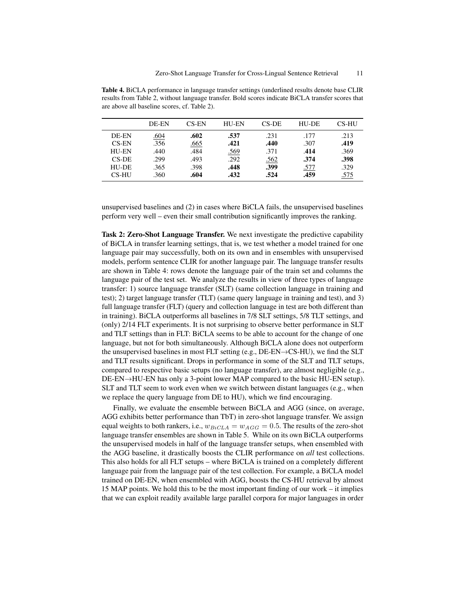DE-EN CS-EN HU-EN CS-DE HU-DE CS-HU 213. DE-EN .604 .602 .537 .231 .177 .213 **CS-EN .356 .665 .421 .440 .307 .419** HU-EN .440 .484 .569 .371 .**414** .369 CS-DE .299 .493 .292 .562 .374 .398 HU-DE .365 .398 **.448 .399** .577 .329

Table 4. BiCLA performance in language transfer settings (underlined results denote base CLIR results from Table 2, without language transfer. Bold scores indicate BiCLA transfer scores that are above all baseline scores, cf. Table 2).

unsupervised baselines and (2) in cases where BiCLA fails, the unsupervised baselines perform very well – even their small contribution significantly improves the ranking.

CS-HU .360 .604 .432 .524 .459 .575

Task 2: Zero-Shot Language Transfer. We next investigate the predictive capability of BiCLA in transfer learning settings, that is, we test whether a model trained for one language pair may successfully, both on its own and in ensembles with unsupervised models, perform sentence CLIR for another language pair. The language transfer results are shown in Table 4: rows denote the language pair of the train set and columns the language pair of the test set. We analyze the results in view of three types of language transfer: 1) source language transfer (SLT) (same collection language in training and test); 2) target language transfer (TLT) (same query language in training and test), and 3) full language transfer (FLT) (query and collection language in test are both different than in training). BiCLA outperforms all baselines in 7/8 SLT settings, 5/8 TLT settings, and (only) 2/14 FLT experiments. It is not surprising to observe better performance in SLT and TLT settings than in FLT: BiCLA seems to be able to account for the change of one language, but not for both simultaneously. Although BiCLA alone does not outperform the unsupervised baselines in most FLT setting (e.g., DE-EN→CS-HU), we find the SLT and TLT results significant. Drops in performance in some of the SLT and TLT setups, compared to respective basic setups (no language transfer), are almost negligible (e.g., DE-EN→HU-EN has only a 3-point lower MAP compared to the basic HU-EN setup). SLT and TLT seem to work even when we switch between distant languages (e.g., when we replace the query language from DE to HU), which we find encouraging.

Finally, we evaluate the ensemble between BiCLA and AGG (since, on average, AGG exhibits better performance than TbT) in zero-shot language transfer. We assign equal weights to both rankers, i.e.,  $w_{BiCLA} = w_{AGG} = 0.5$ . The results of the zero-shot language transfer ensembles are shown in Table 5. While on its own BiCLA outperforms the unsupervised models in half of the language transfer setups, when ensembled with the AGG baseline, it drastically boosts the CLIR performance on *all* test collections. This also holds for all FLT setups – where BiCLA is trained on a completely different language pair from the language pair of the test collection. For example, a BiCLA model trained on DE-EN, when ensembled with AGG, boosts the CS-HU retrieval by almost 15 MAP points. We hold this to be the most important finding of our work – it implies that we can exploit readily available large parallel corpora for major languages in order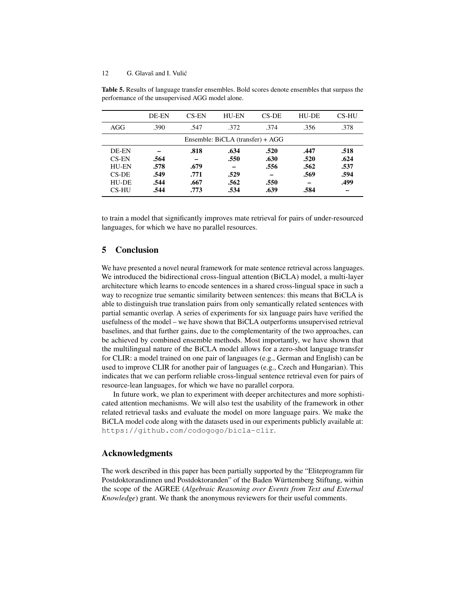|                                  | <b>DE-EN</b> | $CS-FN$ | <b>HU-EN</b> | CS-DE                    | HU-DE | CS-HU |  |  |
|----------------------------------|--------------|---------|--------------|--------------------------|-------|-------|--|--|
| AGG                              | .390         | .547    | .372         | .374                     | .356  | .378  |  |  |
| Ensemble: BiCLA (transfer) + AGG |              |         |              |                          |       |       |  |  |
| DE-EN                            |              | .818    | .634         | .520                     | .447  | .518  |  |  |
| $CS-FN$                          | .564         |         | .550         | .630                     | .520  | .624  |  |  |
| <b>HU-EN</b>                     | .578         | .679    |              | .556                     | .562  | .537  |  |  |
| CS-DE                            | .549         | .771    | .529         | $\overline{\phantom{0}}$ | .569  | .594  |  |  |
| <b>HU-DE</b>                     | .544         | .667    | .562         | .550                     |       | .499  |  |  |
| $CS-HU$                          | .544         | .773    | .534         | .639                     | .584  |       |  |  |

Table 5. Results of language transfer ensembles. Bold scores denote ensembles that surpass the performance of the unsupervised AGG model alone.

to train a model that significantly improves mate retrieval for pairs of under-resourced languages, for which we have no parallel resources.

# 5 Conclusion

We have presented a novel neural framework for mate sentence retrieval across languages. We introduced the bidirectional cross-lingual attention (BiCLA) model, a multi-layer architecture which learns to encode sentences in a shared cross-lingual space in such a way to recognize true semantic similarity between sentences: this means that BiCLA is able to distinguish true translation pairs from only semantically related sentences with partial semantic overlap. A series of experiments for six language pairs have verified the usefulness of the model – we have shown that BiCLA outperforms unsupervised retrieval baselines, and that further gains, due to the complementarity of the two approaches, can be achieved by combined ensemble methods. Most importantly, we have shown that the multilingual nature of the BiCLA model allows for a zero-shot language transfer for CLIR: a model trained on one pair of languages (e.g., German and English) can be used to improve CLIR for another pair of languages (e.g., Czech and Hungarian). This indicates that we can perform reliable cross-lingual sentence retrieval even for pairs of resource-lean languages, for which we have no parallel corpora.

In future work, we plan to experiment with deeper architectures and more sophisticated attention mechanisms. We will also test the usability of the framework in other related retrieval tasks and evaluate the model on more language pairs. We make the BiCLA model code along with the datasets used in our experiments publicly available at: https://github.com/codogogo/bicla-clir.

### Acknowledgments

The work described in this paper has been partially supported by the "Eliteprogramm für Postdoktorandinnen und Postdoktoranden" of the Baden Wurttemberg Stiftung, within ¨ the scope of the AGREE (*Algebraic Reasoning over Events from Text and External Knowledge*) grant. We thank the anonymous reviewers for their useful comments.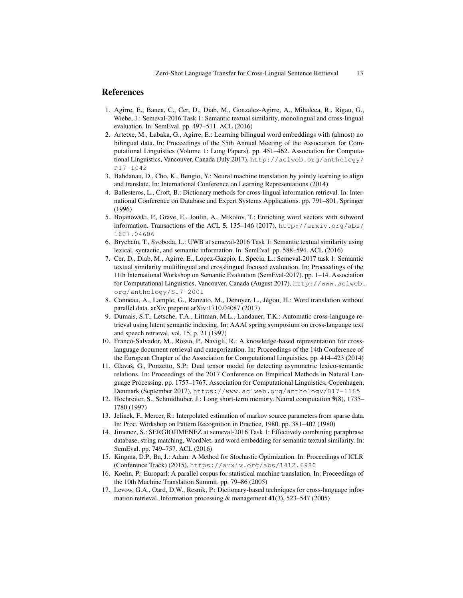# References

- 1. Agirre, E., Banea, C., Cer, D., Diab, M., Gonzalez-Agirre, A., Mihalcea, R., Rigau, G., Wiebe, J.: Semeval-2016 Task 1: Semantic textual similarity, monolingual and cross-lingual evaluation. In: SemEval. pp. 497–511. ACL (2016)
- 2. Artetxe, M., Labaka, G., Agirre, E.: Learning bilingual word embeddings with (almost) no bilingual data. In: Proceedings of the 55th Annual Meeting of the Association for Computational Linguistics (Volume 1: Long Papers). pp. 451–462. Association for Computational Linguistics, Vancouver, Canada (July 2017), http://aclweb.org/anthology/ P17-1042
- 3. Bahdanau, D., Cho, K., Bengio, Y.: Neural machine translation by jointly learning to align and translate. In: International Conference on Learning Representations (2014)
- 4. Ballesteros, L., Croft, B.: Dictionary methods for cross-lingual information retrieval. In: International Conference on Database and Expert Systems Applications. pp. 791–801. Springer (1996)
- 5. Bojanowski, P., Grave, E., Joulin, A., Mikolov, T.: Enriching word vectors with subword information. Transactions of the ACL 5, 135–146 (2017), http://arxiv.org/abs/ 1607.04606
- 6. Brychcín, T., Svoboda, L.: UWB at semeval-2016 Task 1: Semantic textual similarity using lexical, syntactic, and semantic information. In: SemEval. pp. 588–594. ACL (2016)
- 7. Cer, D., Diab, M., Agirre, E., Lopez-Gazpio, I., Specia, L.: Semeval-2017 task 1: Semantic textual similarity multilingual and crosslingual focused evaluation. In: Proceedings of the 11th International Workshop on Semantic Evaluation (SemEval-2017). pp. 1–14. Association for Computational Linguistics, Vancouver, Canada (August 2017), http://www.aclweb. org/anthology/S17-2001
- 8. Conneau, A., Lample, G., Ranzato, M., Denoyer, L., Jégou, H.: Word translation without parallel data. arXiv preprint arXiv:1710.04087 (2017)
- 9. Dumais, S.T., Letsche, T.A., Littman, M.L., Landauer, T.K.: Automatic cross-language retrieval using latent semantic indexing. In: AAAI spring symposium on cross-language text and speech retrieval. vol. 15, p. 21 (1997)
- 10. Franco-Salvador, M., Rosso, P., Navigli, R.: A knowledge-based representation for crosslanguage document retrieval and categorization. In: Proceedings of the 14th Conference of the European Chapter of the Association for Computational Linguistics. pp. 414–423 (2014)
- 11. Glavaš, G., Ponzetto, S.P.: Dual tensor model for detecting asymmetric lexico-semantic relations. In: Proceedings of the 2017 Conference on Empirical Methods in Natural Language Processing. pp. 1757–1767. Association for Computational Linguistics, Copenhagen, Denmark (September 2017), https://www.aclweb.org/anthology/D17-1185
- 12. Hochreiter, S., Schmidhuber, J.: Long short-term memory. Neural computation 9(8), 1735– 1780 (1997)
- 13. Jelinek, F., Mercer, R.: Interpolated estimation of markov source parameters from sparse data. In: Proc. Workshop on Pattern Recognition in Practice, 1980. pp. 381–402 (1980)
- 14. Jimenez, S.: SERGIOJIMENEZ at semeval-2016 Task 1: Effectively combining paraphrase database, string matching, WordNet, and word embedding for semantic textual similarity. In: SemEval. pp. 749–757. ACL (2016)
- 15. Kingma, D.P., Ba, J.: Adam: A Method for Stochastic Optimization. In: Proceedings of ICLR (Conference Track) (2015), https://arxiv.org/abs/1412.6980
- 16. Koehn, P.: Europarl: A parallel corpus for statistical machine translation. In: Proceedings of the 10th Machine Translation Summit. pp. 79–86 (2005)
- 17. Levow, G.A., Oard, D.W., Resnik, P.: Dictionary-based techniques for cross-language information retrieval. Information processing & management 41(3), 523–547 (2005)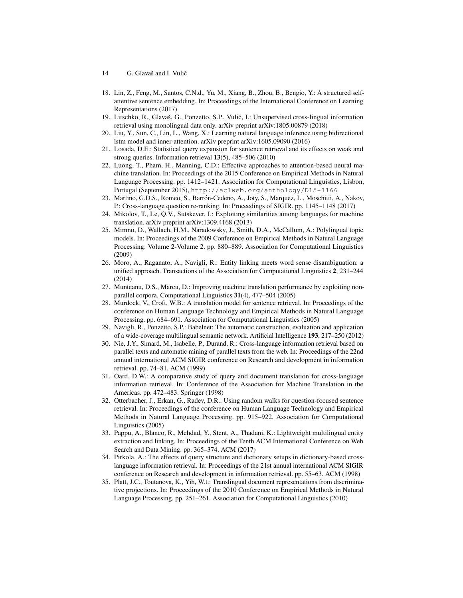- 14 G. Glavaš and I. Vulić
- 18. Lin, Z., Feng, M., Santos, C.N.d., Yu, M., Xiang, B., Zhou, B., Bengio, Y.: A structured selfattentive sentence embedding. In: Proceedings of the International Conference on Learning Representations (2017)
- 19. Litschko, R., Glavaš, G., Ponzetto, S.P., Vulić, I.: Unsupervised cross-lingual information retrieval using monolingual data only. arXiv preprint arXiv:1805.00879 (2018)
- 20. Liu, Y., Sun, C., Lin, L., Wang, X.: Learning natural language inference using bidirectional lstm model and inner-attention. arXiv preprint arXiv:1605.09090 (2016)
- 21. Losada, D.E.: Statistical query expansion for sentence retrieval and its effects on weak and strong queries. Information retrieval 13(5), 485–506 (2010)
- 22. Luong, T., Pham, H., Manning, C.D.: Effective approaches to attention-based neural machine translation. In: Proceedings of the 2015 Conference on Empirical Methods in Natural Language Processing. pp. 1412–1421. Association for Computational Linguistics, Lisbon, Portugal (September 2015), http://aclweb.org/anthology/D15-1166
- 23. Martino, G.D.S., Romeo, S., Barron-Cedeno, A., Joty, S., Marquez, L., Moschitti, A., Nakov, ´ P.: Cross-language question re-ranking. In: Proceedings of SIGIR. pp. 1145–1148 (2017)
- 24. Mikolov, T., Le, Q.V., Sutskever, I.: Exploiting similarities among languages for machine translation. arXiv preprint arXiv:1309.4168 (2013)
- 25. Mimno, D., Wallach, H.M., Naradowsky, J., Smith, D.A., McCallum, A.: Polylingual topic models. In: Proceedings of the 2009 Conference on Empirical Methods in Natural Language Processing: Volume 2-Volume 2. pp. 880–889. Association for Computational Linguistics (2009)
- 26. Moro, A., Raganato, A., Navigli, R.: Entity linking meets word sense disambiguation: a unified approach. Transactions of the Association for Computational Linguistics 2, 231–244 (2014)
- 27. Munteanu, D.S., Marcu, D.: Improving machine translation performance by exploiting nonparallel corpora. Computational Linguistics 31(4), 477–504 (2005)
- 28. Murdock, V., Croft, W.B.: A translation model for sentence retrieval. In: Proceedings of the conference on Human Language Technology and Empirical Methods in Natural Language Processing. pp. 684–691. Association for Computational Linguistics (2005)
- 29. Navigli, R., Ponzetto, S.P.: Babelnet: The automatic construction, evaluation and application of a wide-coverage multilingual semantic network. Artificial Intelligence 193, 217–250 (2012)
- 30. Nie, J.Y., Simard, M., Isabelle, P., Durand, R.: Cross-language information retrieval based on parallel texts and automatic mining of parallel texts from the web. In: Proceedings of the 22nd annual international ACM SIGIR conference on Research and development in information retrieval. pp. 74–81. ACM (1999)
- 31. Oard, D.W.: A comparative study of query and document translation for cross-language information retrieval. In: Conference of the Association for Machine Translation in the Americas. pp. 472–483. Springer (1998)
- 32. Otterbacher, J., Erkan, G., Radev, D.R.: Using random walks for question-focused sentence retrieval. In: Proceedings of the conference on Human Language Technology and Empirical Methods in Natural Language Processing. pp. 915–922. Association for Computational Linguistics (2005)
- 33. Pappu, A., Blanco, R., Mehdad, Y., Stent, A., Thadani, K.: Lightweight multilingual entity extraction and linking. In: Proceedings of the Tenth ACM International Conference on Web Search and Data Mining. pp. 365–374. ACM (2017)
- 34. Pirkola, A.: The effects of query structure and dictionary setups in dictionary-based crosslanguage information retrieval. In: Proceedings of the 21st annual international ACM SIGIR conference on Research and development in information retrieval. pp. 55–63. ACM (1998)
- 35. Platt, J.C., Toutanova, K., Yih, W.t.: Translingual document representations from discriminative projections. In: Proceedings of the 2010 Conference on Empirical Methods in Natural Language Processing. pp. 251–261. Association for Computational Linguistics (2010)